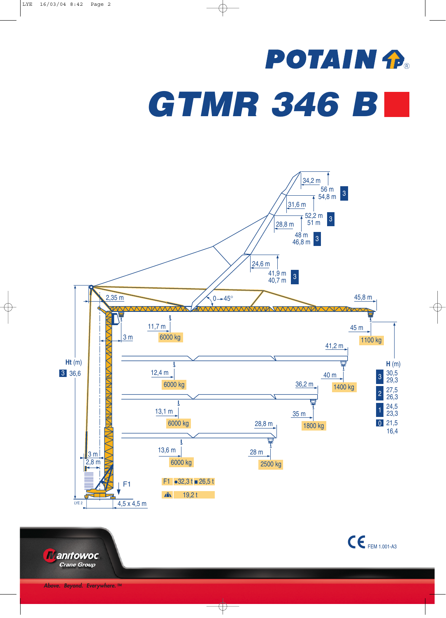## **POTAIN P.** *GTMR 346 B*



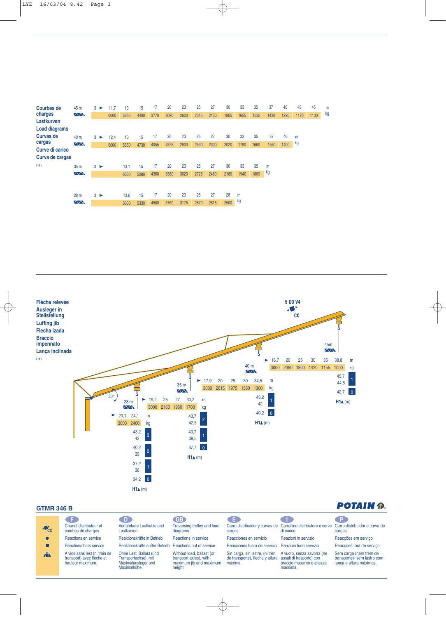| <b>Courbes de</b>    | 45 m                | $3 \triangleright$ | 11.7 | 13   | 15   | 17   | 20   | 23   | 25   | 27   | 30   | 33   | 35   | 37   | 40   | 43   | 45   | m  |
|----------------------|---------------------|--------------------|------|------|------|------|------|------|------|------|------|------|------|------|------|------|------|----|
| charges              | $\overline{\wedge}$ |                    | 6000 | 5265 | 4400 | 3770 | 3090 | 2600 | 2345 | 2130 | 1865 | 1655 | 1535 | 1430 | 1290 | 1170 | 1100 | kg |
| <b>Lastkurven</b>    |                     |                    |      |      |      |      |      |      |      |      |      |      |      |      |      |      |      |    |
| <b>Load diagrams</b> |                     |                    |      |      |      |      |      |      |      |      |      |      |      |      |      |      |      |    |
| <b>Curvas de</b>     | 40 m                | $3 \triangleright$ | 12.4 | 13   | 15   | 17   | 20   | 23   | 25   | 27   | 30   | 33   | 35   | 37   | 40   | m    |      |    |
| cargas               | $\sqrt{N}$          |                    | 6000 | 5650 | 4730 | 4055 | 3325 | 2800 | 2530 | 2300 | 2020 | 1790 | 1660 | 1550 | 1400 | kg   |      |    |
| Curve di carico      |                     |                    |      |      |      |      |      |      |      |      |      |      |      |      |      |      |      |    |
| Curva de cargas      |                     |                    |      |      |      |      |      |      |      |      |      |      |      |      |      |      |      |    |
| LYE <sub>1</sub>     | 35 <sub>m</sub>     | $3 \triangleright$ |      | 13.1 | 15   | 17   | 20   | 23   | 25   | 27   | 30   | 33   | 35   | m    |      |      |      |    |
|                      | $\sqrt{N}$          |                    |      | 6000 | 5080 | 4360 | 3580 | 3020 | 2725 | 2480 | 2180 | 1940 | 1800 | kg   |      |      |      |    |
|                      |                     |                    |      |      |      |      |      |      |      |      |      |      |      |      |      |      |      |    |
|                      |                     |                    |      |      |      |      |      |      |      |      |      |      |      |      |      |      |      |    |
|                      | 28 <sub>m</sub>     | $3 \triangleright$ |      | 13,6 | 15   | 17   | 20   | 23   | 25   | 27   | 28   | m    |      |      |      |      |      |    |
|                      | $\wedge\wedge$      |                    |      | 6000 | 5330 | 4580 | 3760 | 3175 | 2870 | 2615 | 2500 | kg   |      |      |      |      |      |    |



## **GTMR 346 B**

## **POTAIN P.**

| $10^{\circ}$ | . F.<br>Chariot distributeur et<br>courbes de charges                          | D.<br>Verfahrbare Laufkatze und<br>Lastkurven                                          | <b>GB</b><br>Traversing trolley and load<br>diagrams                                      | 8 E J<br>cargas                                                                                        | Carro distribuidor y curvas de Carrellino distributore e curve Carro distribuidor e curva de<br>di carico | - P -<br>cargas                                                                  |
|--------------|--------------------------------------------------------------------------------|----------------------------------------------------------------------------------------|-------------------------------------------------------------------------------------------|--------------------------------------------------------------------------------------------------------|-----------------------------------------------------------------------------------------------------------|----------------------------------------------------------------------------------|
|              | Réactions en service                                                           | Reaktionskräfte in Betrieb                                                             | Reactions in service                                                                      | Reacciones en servicio                                                                                 | Reazioni in servizio                                                                                      | Reacções em serviço                                                              |
|              | Réactions hors service                                                         | Reaktionskräfte außer Betrieb Reactions out of service                                 |                                                                                           | Reacciones fuera de servicio Reazioni fuori servizio                                                   |                                                                                                           | Reacções fora de serviço                                                         |
| $\mathbf{A}$ | A vide sans lest (ni train de<br>transport) avec flèche et<br>hauteur maximum. | Ohne Last, Ballast (und<br>Transportachse), mit<br>Maximalausleger und<br>Maximalhöhe. | Without load, ballast (or<br>transport axles), with<br>maximum jib and maximum<br>height. | Sin carga, sin lastre, (ni tren<br>de transporte), flecha y altura assali di trasporto) con<br>máxima. | A vuoto, senza zavorra (ne<br>braccio massimo e altezza<br>massima.                                       | Sem carga (nem trem de<br>transporte)- sem lastro com<br>lança e altura máximas. |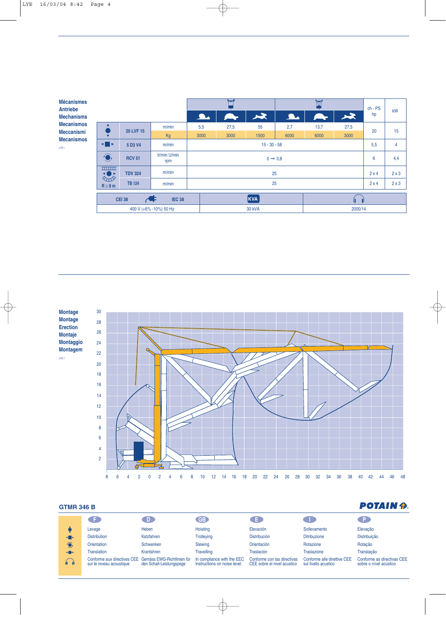| <b>Mécanismes</b><br><b>Antriebe</b><br><b>Mechanisms</b><br><b>Mecanismos</b><br><b>Meccanismi</b><br><b>Mecanismos</b><br>LYE 1 |                                   |                  |                     | 人工<br>$\overline{\phantom{a}}$ |      |               | IVI<br>$\blacktriangleright$<br><u>A.</u> |      |      | $ch - PS$<br>hp | kW  |
|-----------------------------------------------------------------------------------------------------------------------------------|-----------------------------------|------------------|---------------------|--------------------------------|------|---------------|-------------------------------------------|------|------|-----------------|-----|
|                                                                                                                                   | ▲                                 | <b>20 LVF 15</b> | m/min               | 5,5                            | 27,5 | 55            | 2,7                                       | 13,7 | 27,5 | 20              | 15  |
|                                                                                                                                   |                                   |                  | Kg                  | 3000                           | 3000 | 1500          | 6000                                      | 6000 | 3000 |                 |     |
|                                                                                                                                   | $\blacksquare$<br>5 D3 V4         |                  | m/min               | $15 - 30 - 58$                 |      |               |                                           |      |      | 5,5             | 4   |
|                                                                                                                                   | $\bigodot$<br><b>RCV 51</b>       |                  | tr/min U/min<br>rpm | $0 \rightarrow 0.8$            |      |               |                                           |      |      |                 | 4,4 |
|                                                                                                                                   | <b>THEFT</b><br>◂◉▸<br>$\Diamond$ | <b>TDV 324</b>   | m/min               |                                | 25   |               |                                           |      |      |                 | 2x3 |
|                                                                                                                                   | $R \geq 8$ m                      | <b>TB 124</b>    | m/min               | 25                             |      |               |                                           |      |      | 2x4             | 2x3 |
|                                                                                                                                   |                                   | <b>CEI 38</b>    | ÆF<br><b>IEC 38</b> | KVA                            |      |               |                                           |      |      |                 |     |
| 400 V (+6% -10%) 50 Hz                                                                                                            |                                   |                  |                     |                                |      | <b>30 kVA</b> | 2000/14                                   |      |      |                 |     |



## **GTMR 346 B**

| <b>GTMR 346 B</b> |                                                         |                                                        |                                                           |                                                            |                                                     |                                                      |  |  |
|-------------------|---------------------------------------------------------|--------------------------------------------------------|-----------------------------------------------------------|------------------------------------------------------------|-----------------------------------------------------|------------------------------------------------------|--|--|
|                   |                                                         | D.                                                     | <b>GB</b>                                                 | Œ.                                                         |                                                     | ∴P.                                                  |  |  |
|                   | Levage                                                  | Heben                                                  | Hoisting                                                  | Elevación                                                  | Sollevamento                                        | Elevação                                             |  |  |
| $\blacksquare$    | <b>Distribution</b>                                     | Katzfahren                                             | <b>Trolleying</b>                                         | <b>Distribución</b>                                        | <b>Ditribuzione</b>                                 | Distribuição                                         |  |  |
| $\bigodot$        | Orientation                                             | Schwenken                                              | Slewing                                                   | Orientación                                                | Rotazione                                           | Rotação                                              |  |  |
| <b>KOP</b>        | <b>Translation</b>                                      | Kranfahren                                             | <b>Travelling</b>                                         | <b>Traslación</b>                                          | <b>Traslazione</b>                                  | Translação                                           |  |  |
| $\bigcap$         | Conforme aux directives CEE<br>sur le niveau acoustique | Gemäss EWG-Richtlinien für<br>den Schall-Leistungspege | In compliance with the EEC<br>Instructions on noise level | Conforme con las directivas<br>CEE sobre el nivel acustico | Conforme alle direttive CEE<br>sul livello acustico | Conforme as directivas CEE<br>sobre o nível acústico |  |  |